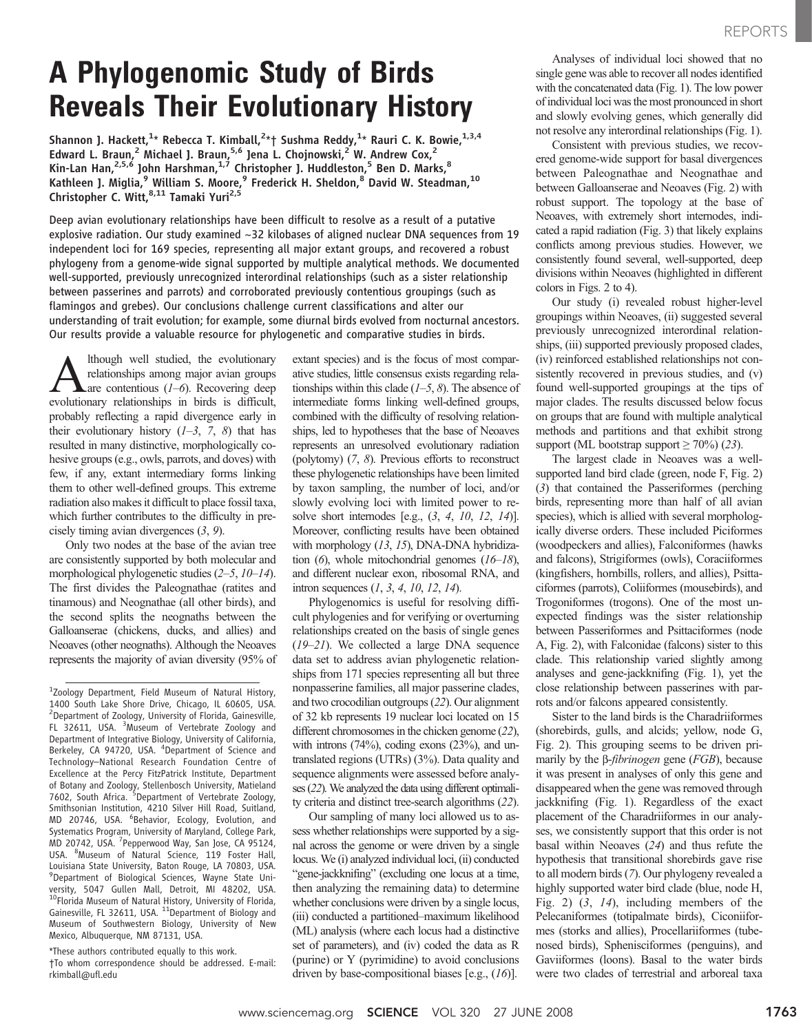## A Phylogenomic Study of Birds Reveals Their Evolutionary History

Shannon J. Hackett,<sup>1</sup>\* Rebecca T. Kimball,<sup>2</sup>\*† Sushma Reddy,<sup>1</sup>\* Rauri C. K. Bowie,<sup>1,3,4</sup> Edward L. Braun,<sup>2</sup> Michael J. Braun,<sup>5,6</sup> Jena L. Chojnowski,<sup>2</sup> W. Andrew Cox,<sup>2</sup> Kin-Lan Han,<sup>2,5,6</sup> John Harshman,<sup>1,7</sup> Christopher J. Huddleston,<sup>5</sup> Ben D. Marks,<sup>8</sup> Kathleen J. Miglia,<sup>9</sup> William S. Moore,<sup>9</sup> Frederick H. Sheldon,<sup>8</sup> David W. Steadman,<sup>10</sup> Christopher C. Witt, <sup>8,11</sup> Tamaki Yuri<sup>2,5</sup>

Deep avian evolutionary relationships have been difficult to resolve as a result of a putative explosive radiation. Our study examined  $\sim$ 32 kilobases of aligned nuclear DNA sequences from 19 independent loci for 169 species, representing all major extant groups, and recovered a robust phylogeny from a genome-wide signal supported by multiple analytical methods. We documented well-supported, previously unrecognized interordinal relationships (such as a sister relationship between passerines and parrots) and corroborated previously contentious groupings (such as flamingos and grebes). Our conclusions challenge current classifications and alter our understanding of trait evolution; for example, some diurnal birds evolved from nocturnal ancestors. Our results provide a valuable resource for phylogenetic and comparative studies in birds.

Although well studied, the evolutionary relationships among major avian groups  $\Delta$ are contentious (1–6). Recovering deep evolutionary relationships in birds is difficult, probably reflecting a rapid divergence early in their evolutionary history  $(1-3, 7, 8)$  that has resulted in many distinctive, morphologically cohesive groups (e.g., owls, parrots, and doves) with few, if any, extant intermediary forms linking them to other well-defined groups. This extreme radiation also makes it difficult to place fossil taxa, which further contributes to the difficulty in precisely timing avian divergences (3, 9).

Only two nodes at the base of the avian tree are consistently supported by both molecular and morphological phylogenetic studies (2–5, 10–14). The first divides the Paleognathae (ratites and tinamous) and Neognathae (all other birds), and the second splits the neognaths between the Galloanserae (chickens, ducks, and allies) and Neoaves (other neognaths). Although the Neoaves represents the majority of avian diversity (95% of

\*These authors contributed equally to this work. †To whom correspondence should be addressed. E-mail: rkimball@ufl.edu

extant species) and is the focus of most comparative studies, little consensus exists regarding relationships within this clade  $(1-5, 8)$ . The absence of intermediate forms linking well-defined groups, combined with the difficulty of resolving relationships, led to hypotheses that the base of Neoaves represents an unresolved evolutionary radiation (polytomy) (7, 8). Previous efforts to reconstruct these phylogenetic relationships have been limited by taxon sampling, the number of loci, and/or slowly evolving loci with limited power to resolve short internodes [e.g.,  $(3, 4, 10, 12, 14)$ ]. Moreover, conflicting results have been obtained with morphology (13, 15), DNA-DNA hybridization  $(6)$ , whole mitochondrial genomes  $(16-18)$ , and different nuclear exon, ribosomal RNA, and intron sequences (1, 3, 4, 10, 12, 14).

Phylogenomics is useful for resolving difficult phylogenies and for verifying or overturning relationships created on the basis of single genes (19–21). We collected a large DNA sequence data set to address avian phylogenetic relationships from 171 species representing all but three nonpasserine families, all major passerine clades, and two crocodilian outgroups (22). Our alignment of 32 kb represents 19 nuclear loci located on 15 different chromosomes in the chicken genome (22), with introns (74%), coding exons (23%), and untranslated regions (UTRs) (3%). Data quality and sequence alignments were assessed before analyses (22). We analyzed the data using different optimality criteria and distinct tree-search algorithms (22).

Our sampling of many loci allowed us to assess whether relationships were supported by a signal across the genome or were driven by a single locus. We (i) analyzed individual loci, (ii) conducted "gene-jackknifing" (excluding one locus at a time, then analyzing the remaining data) to determine whether conclusions were driven by a single locus, (iii) conducted a partitioned–maximum likelihood (ML) analysis (where each locus had a distinctive set of parameters), and (iv) coded the data as R (purine) or Y (pyrimidine) to avoid conclusions driven by base-compositional biases [e.g.,  $(16)$ ].

Analyses of individual loci showed that no single gene was able to recover all nodes identified with the concatenated data (Fig. 1). The low power of individual loci was the most pronounced in short and slowly evolving genes, which generally did not resolve any interordinal relationships (Fig. 1).

Consistent with previous studies, we recovered genome-wide support for basal divergences between Paleognathae and Neognathae and between Galloanserae and Neoaves (Fig. 2) with robust support. The topology at the base of Neoaves, with extremely short internodes, indicated a rapid radiation (Fig. 3) that likely explains conflicts among previous studies. However, we consistently found several, well-supported, deep divisions within Neoaves (highlighted in different colors in Figs. 2 to 4).

Our study (i) revealed robust higher-level groupings within Neoaves, (ii) suggested several previously unrecognized interordinal relationships, (iii) supported previously proposed clades, (iv) reinforced established relationships not consistently recovered in previous studies, and (v) found well-supported groupings at the tips of major clades. The results discussed below focus on groups that are found with multiple analytical methods and partitions and that exhibit strong support (ML bootstrap support  $\geq 70\%$ ) (23).

The largest clade in Neoaves was a wellsupported land bird clade (green, node F, Fig. 2) (3) that contained the Passeriformes (perching birds, representing more than half of all avian species), which is allied with several morphologically diverse orders. These included Piciformes (woodpeckers and allies), Falconiformes (hawks and falcons), Strigiformes (owls), Coraciiformes (kingfishers, hornbills, rollers, and allies), Psittaciformes (parrots), Coliiformes (mousebirds), and Trogoniformes (trogons). One of the most unexpected findings was the sister relationship between Passeriformes and Psittaciformes (node A, Fig. 2), with Falconidae (falcons) sister to this clade. This relationship varied slightly among analyses and gene-jackknifing (Fig. 1), yet the close relationship between passerines with parrots and/or falcons appeared consistently.

Sister to the land birds is the Charadriiformes (shorebirds, gulls, and alcids; yellow, node G, Fig. 2). This grouping seems to be driven primarily by the  $\beta$ -*fibrinogen* gene (*FGB*), because it was present in analyses of only this gene and disappeared when the gene was removed through jackknifing (Fig. 1). Regardless of the exact placement of the Charadriiformes in our analyses, we consistently support that this order is not basal within Neoaves (24) and thus refute the hypothesis that transitional shorebirds gave rise to all modern birds (7). Our phylogeny revealed a highly supported water bird clade (blue, node H, Fig. 2)  $(3, 14)$ , including members of the Pelecaniformes (totipalmate birds), Ciconiiformes (storks and allies), Procellariiformes (tubenosed birds), Sphenisciformes (penguins), and Gaviiformes (loons). Basal to the water birds were two clades of terrestrial and arboreal taxa

<sup>&</sup>lt;sup>1</sup>Zoology Department, Field Museum of Natural History, 1400 South Lake Shore Drive, Chicago, IL 60605, USA. 2 Department of Zoology, University of Florida, Gainesville, FL 32611, USA. <sup>3</sup>Museum of Vertebrate Zoology and Department of Integrative Biology, University of California, Berkeley, CA 94720, USA. <sup>4</sup>Department of Science and Technology–National Research Foundation Centre of Excellence at the Percy FitzPatrick Institute, Department of Botany and Zoology, Stellenbosch University, Matieland<br>7602, South Africa. <sup>5</sup>Department of Vertebrate Zoology, Smithsonian Institution, 4210 Silver Hill Road, Suitland, MD 20746, USA. <sup>6</sup>Behavior, Ecology, Evolution, and Systematics Program, University of Maryland, College Park, MD 20742, USA. <sup>7</sup> Pepperwood Way, San Jose, CA 95124, USA. <sup>8</sup> Museum of Natural Science, 119 Foster Hall, Louisiana State University, Baton Rouge, LA 70803, USA. 9 Department of Biological Sciences, Wayne State University, 5047 Gullen Mall, Detroit, MI 48202, USA. 10Florida Museum of Natural History, University of Florida, Gainesville, FL 32611, USA. <sup>11</sup>Department of Biology and Museum of Southwestern Biology, University of New Mexico, Albuquerque, NM 87131, USA.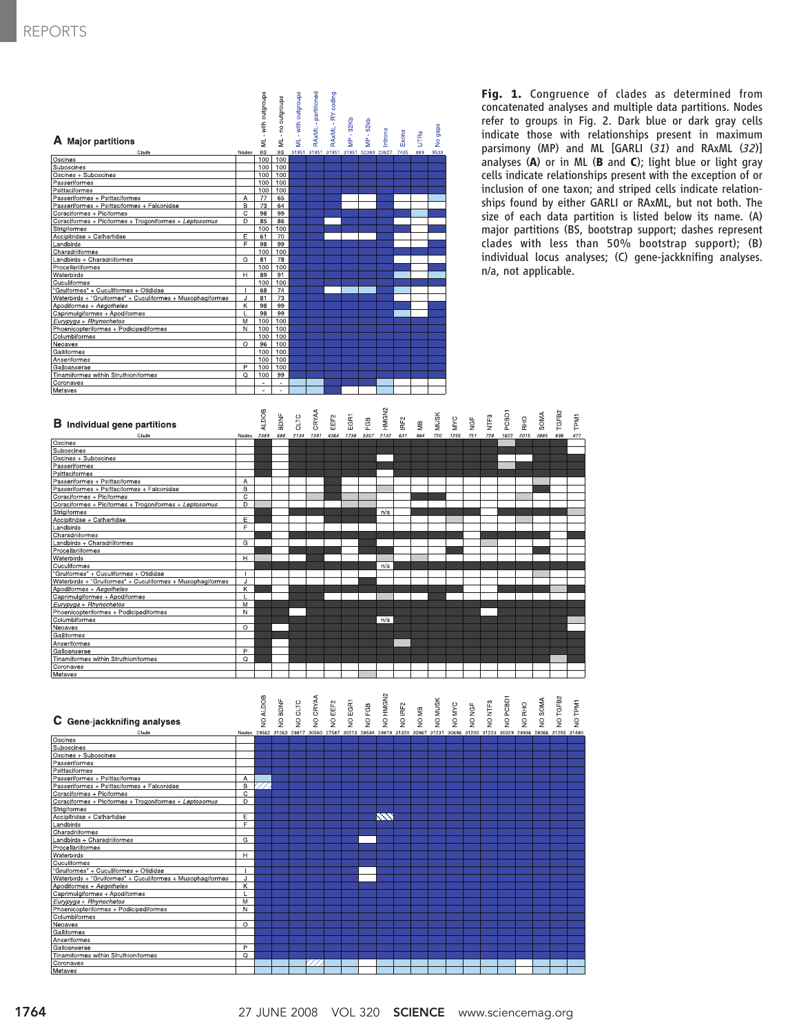| A Major partitions<br>Clade<br>Oscines<br>Suboscines<br>Oscines + Suboscines<br>Passeriformes<br>Psittaciformes<br>Passeriformes + Psittaciformes<br>Passeriformes + Psittaciformes + Falconidae<br>Coraciformes + Piciformes<br>Coraciformes + Piciformes + Trogoniformes + Leptosomus<br>Strigiformes<br>Accipitridae + Cathartidae<br>Landbirds<br>Charadriiformes<br>Landbirds + Charadriiformes<br>Procellariiformes<br>Waterbirds<br>Cuculiformes<br>"Gruiformes" + Cuculiformes + Otididae<br>Waterbirds + "Gruiformes" + Cuculiformes + Musophagiformes<br>Apodiformes + Aegotheles<br>Caprimulgiformes + Apodiformes<br>Eurypyga + Rhynochetos<br>Phoenicopteriformes + Podicipediformes<br>Columbiformes<br>Neoaves<br>Galliformes<br>Anseriformes<br>Galloanserae<br>Tinamiformes within Struthioniformes<br>Coronaves<br>Metaves | Nodes<br>A<br>$\overline{B}$<br>$\mathbf C$<br>D<br>Ε<br>F<br>$\overline{G}$<br>H<br>т<br>J<br><u>K</u><br>L<br>M<br>N<br>O<br>$\overline{P}$<br>Q | ML - with outgroups<br><b>BS</b><br>100<br>100<br>100<br>100<br>100<br>77<br>73<br>98<br>85<br>100<br>61<br>98<br>100<br>81<br>100<br>89<br>100<br>68<br>81<br>98<br>98<br>100<br>100<br>100<br>96<br>100<br>100<br>100<br>100 | ML-no outgroups<br><b>BS</b><br>100<br>100<br>100<br>100<br>100<br>65<br>64<br>99<br>86<br>100<br>70<br>99<br>100<br>78<br>100<br>91<br>100<br>74<br>73<br>99<br>99<br>100<br>100<br>100<br>100<br>100<br>100<br>100<br>99 | ML - with outgroups<br>31951 | RAxML - partitioned<br>31951 | RAxML - RY coding<br>31951 | <b>MP-32Kb</b><br>31951 | MP-52kb<br>52383 | Introns<br>23627 | Exons<br>7435    | UTRS<br>889 | No gaps<br>9533 |            |                | Fig.<br>conca<br>refer<br>indica<br>parsir<br>analy<br>cells i<br>inclus<br>ships<br>size o<br>major<br>clade<br>indivi<br>$n/a$ , n |                   |
|----------------------------------------------------------------------------------------------------------------------------------------------------------------------------------------------------------------------------------------------------------------------------------------------------------------------------------------------------------------------------------------------------------------------------------------------------------------------------------------------------------------------------------------------------------------------------------------------------------------------------------------------------------------------------------------------------------------------------------------------------------------------------------------------------------------------------------------------|----------------------------------------------------------------------------------------------------------------------------------------------------|--------------------------------------------------------------------------------------------------------------------------------------------------------------------------------------------------------------------------------|----------------------------------------------------------------------------------------------------------------------------------------------------------------------------------------------------------------------------|------------------------------|------------------------------|----------------------------|-------------------------|------------------|------------------|------------------|-------------|-----------------|------------|----------------|--------------------------------------------------------------------------------------------------------------------------------------|-------------------|
| <b>B</b> Individual gene partitions                                                                                                                                                                                                                                                                                                                                                                                                                                                                                                                                                                                                                                                                                                                                                                                                          |                                                                                                                                                    | <b>ALDOB</b>                                                                                                                                                                                                                   | BDNF                                                                                                                                                                                                                       | CLTC                         | CRYAA                        | EEF <sub>2</sub>           | EGRT                    | FGB              | HMGN2            | IRF <sub>2</sub> | ШĐ          | <b>MUSK</b>     | <b>MVC</b> | $\mathsf{NGF}$ | NTF <sub>3</sub>                                                                                                                     | PCBD <sup>-</sup> |
| Clade<br>Oscines                                                                                                                                                                                                                                                                                                                                                                                                                                                                                                                                                                                                                                                                                                                                                                                                                             | Nodes                                                                                                                                              | 2389                                                                                                                                                                                                                           | 688                                                                                                                                                                                                                        | 2134                         | 1391                         | 4364                       | 1738                    | 3357             | 2132             | 631              | 984         | 720             | 1255       | 751            | 728                                                                                                                                  | 16.               |
| Suboscines                                                                                                                                                                                                                                                                                                                                                                                                                                                                                                                                                                                                                                                                                                                                                                                                                                   |                                                                                                                                                    |                                                                                                                                                                                                                                |                                                                                                                                                                                                                            |                              |                              |                            |                         |                  |                  |                  |             |                 |            |                |                                                                                                                                      |                   |
| Oscines + Suboscines                                                                                                                                                                                                                                                                                                                                                                                                                                                                                                                                                                                                                                                                                                                                                                                                                         |                                                                                                                                                    |                                                                                                                                                                                                                                |                                                                                                                                                                                                                            |                              |                              |                            |                         |                  |                  |                  |             |                 |            |                |                                                                                                                                      |                   |
| <b>Passeriformes</b>                                                                                                                                                                                                                                                                                                                                                                                                                                                                                                                                                                                                                                                                                                                                                                                                                         |                                                                                                                                                    |                                                                                                                                                                                                                                |                                                                                                                                                                                                                            |                              |                              |                            |                         |                  |                  |                  |             |                 |            |                |                                                                                                                                      |                   |
| Psittaciformes<br>Passeriformes + Psittaciformes                                                                                                                                                                                                                                                                                                                                                                                                                                                                                                                                                                                                                                                                                                                                                                                             | A                                                                                                                                                  |                                                                                                                                                                                                                                |                                                                                                                                                                                                                            |                              |                              |                            |                         |                  |                  |                  |             |                 |            |                |                                                                                                                                      |                   |
| Passeriformes + Psittaciformes + Falconidae                                                                                                                                                                                                                                                                                                                                                                                                                                                                                                                                                                                                                                                                                                                                                                                                  | B                                                                                                                                                  |                                                                                                                                                                                                                                |                                                                                                                                                                                                                            |                              |                              |                            |                         |                  |                  |                  |             |                 |            |                |                                                                                                                                      |                   |
| Coraciformes + Piciformes                                                                                                                                                                                                                                                                                                                                                                                                                                                                                                                                                                                                                                                                                                                                                                                                                    | $\mathbf C$                                                                                                                                        |                                                                                                                                                                                                                                |                                                                                                                                                                                                                            |                              |                              |                            |                         |                  |                  |                  |             |                 |            |                |                                                                                                                                      |                   |
| Coraciformes + Piciformes + Trogoniformes + Leptosomus                                                                                                                                                                                                                                                                                                                                                                                                                                                                                                                                                                                                                                                                                                                                                                                       | D                                                                                                                                                  |                                                                                                                                                                                                                                |                                                                                                                                                                                                                            |                              |                              |                            |                         |                  |                  |                  |             |                 |            |                |                                                                                                                                      |                   |
| <b>Strigiformes</b>                                                                                                                                                                                                                                                                                                                                                                                                                                                                                                                                                                                                                                                                                                                                                                                                                          |                                                                                                                                                    |                                                                                                                                                                                                                                |                                                                                                                                                                                                                            |                              |                              |                            |                         |                  | n/a              |                  |             |                 |            |                |                                                                                                                                      |                   |
| Accipitridae + Cathartidae                                                                                                                                                                                                                                                                                                                                                                                                                                                                                                                                                                                                                                                                                                                                                                                                                   | Ε                                                                                                                                                  |                                                                                                                                                                                                                                |                                                                                                                                                                                                                            |                              |                              |                            |                         |                  |                  |                  |             |                 |            |                |                                                                                                                                      |                   |
| Landbirds<br>Charadriiformes                                                                                                                                                                                                                                                                                                                                                                                                                                                                                                                                                                                                                                                                                                                                                                                                                 | F                                                                                                                                                  |                                                                                                                                                                                                                                |                                                                                                                                                                                                                            |                              |                              |                            |                         |                  |                  |                  |             |                 |            |                |                                                                                                                                      |                   |
| Landbirds + Charadriiformes                                                                                                                                                                                                                                                                                                                                                                                                                                                                                                                                                                                                                                                                                                                                                                                                                  | G                                                                                                                                                  |                                                                                                                                                                                                                                |                                                                                                                                                                                                                            |                              |                              |                            |                         |                  |                  |                  |             |                 |            |                |                                                                                                                                      |                   |
| Procellariiformes                                                                                                                                                                                                                                                                                                                                                                                                                                                                                                                                                                                                                                                                                                                                                                                                                            |                                                                                                                                                    |                                                                                                                                                                                                                                |                                                                                                                                                                                                                            |                              |                              |                            |                         |                  |                  |                  |             |                 |            |                |                                                                                                                                      |                   |
| Waterbirds                                                                                                                                                                                                                                                                                                                                                                                                                                                                                                                                                                                                                                                                                                                                                                                                                                   | $\overline{H}$                                                                                                                                     |                                                                                                                                                                                                                                |                                                                                                                                                                                                                            |                              |                              |                            |                         |                  |                  |                  |             |                 |            |                |                                                                                                                                      |                   |
| Cuculiformes                                                                                                                                                                                                                                                                                                                                                                                                                                                                                                                                                                                                                                                                                                                                                                                                                                 |                                                                                                                                                    |                                                                                                                                                                                                                                |                                                                                                                                                                                                                            |                              |                              |                            |                         |                  | n/a              |                  |             |                 |            |                |                                                                                                                                      |                   |
| "Gruiformes" + Cuculiformes + Otididae                                                                                                                                                                                                                                                                                                                                                                                                                                                                                                                                                                                                                                                                                                                                                                                                       | $\mathbf{I}$                                                                                                                                       |                                                                                                                                                                                                                                |                                                                                                                                                                                                                            |                              |                              |                            |                         |                  |                  |                  |             |                 |            |                |                                                                                                                                      |                   |
| Waterbirds + "Gruiformes" + Cuculiformes + Musophagiformes<br>Apodiformes + Aegotheles                                                                                                                                                                                                                                                                                                                                                                                                                                                                                                                                                                                                                                                                                                                                                       | J<br>Κ                                                                                                                                             |                                                                                                                                                                                                                                |                                                                                                                                                                                                                            |                              |                              |                            |                         |                  |                  |                  |             |                 |            |                |                                                                                                                                      |                   |
| Caprimulgiformes + Apodiformes                                                                                                                                                                                                                                                                                                                                                                                                                                                                                                                                                                                                                                                                                                                                                                                                               | L                                                                                                                                                  |                                                                                                                                                                                                                                |                                                                                                                                                                                                                            |                              |                              |                            |                         |                  |                  |                  |             |                 |            |                |                                                                                                                                      |                   |
| Eurypyga + Rhynochetos                                                                                                                                                                                                                                                                                                                                                                                                                                                                                                                                                                                                                                                                                                                                                                                                                       | M                                                                                                                                                  |                                                                                                                                                                                                                                |                                                                                                                                                                                                                            |                              |                              |                            |                         |                  |                  |                  |             |                 |            |                |                                                                                                                                      |                   |
| Phoenicopteriformes + Podicipediformes                                                                                                                                                                                                                                                                                                                                                                                                                                                                                                                                                                                                                                                                                                                                                                                                       | N                                                                                                                                                  |                                                                                                                                                                                                                                |                                                                                                                                                                                                                            |                              |                              |                            |                         |                  |                  |                  |             |                 |            |                |                                                                                                                                      |                   |
| Columbiformes<br>Neoaves                                                                                                                                                                                                                                                                                                                                                                                                                                                                                                                                                                                                                                                                                                                                                                                                                     | $\circ$                                                                                                                                            |                                                                                                                                                                                                                                |                                                                                                                                                                                                                            |                              |                              |                            |                         |                  | n/a              |                  |             |                 |            |                |                                                                                                                                      |                   |
| Galliformes                                                                                                                                                                                                                                                                                                                                                                                                                                                                                                                                                                                                                                                                                                                                                                                                                                  |                                                                                                                                                    |                                                                                                                                                                                                                                |                                                                                                                                                                                                                            |                              |                              |                            |                         |                  |                  |                  |             |                 |            |                |                                                                                                                                      |                   |
| Anseriformes                                                                                                                                                                                                                                                                                                                                                                                                                                                                                                                                                                                                                                                                                                                                                                                                                                 |                                                                                                                                                    |                                                                                                                                                                                                                                |                                                                                                                                                                                                                            |                              |                              |                            |                         |                  |                  |                  |             |                 |            |                |                                                                                                                                      |                   |
| Galloanserae<br>Tinamiformes within Struthioniformes                                                                                                                                                                                                                                                                                                                                                                                                                                                                                                                                                                                                                                                                                                                                                                                         | P                                                                                                                                                  |                                                                                                                                                                                                                                |                                                                                                                                                                                                                            |                              |                              |                            |                         |                  |                  |                  |             |                 |            |                |                                                                                                                                      |                   |
| Coronaves                                                                                                                                                                                                                                                                                                                                                                                                                                                                                                                                                                                                                                                                                                                                                                                                                                    | $\Omega$                                                                                                                                           |                                                                                                                                                                                                                                |                                                                                                                                                                                                                            |                              |                              |                            |                         |                  |                  |                  |             |                 |            |                |                                                                                                                                      |                   |
| Metaves                                                                                                                                                                                                                                                                                                                                                                                                                                                                                                                                                                                                                                                                                                                                                                                                                                      |                                                                                                                                                    |                                                                                                                                                                                                                                |                                                                                                                                                                                                                            |                              |                              |                            |                         |                  |                  |                  |             |                 |            |                |                                                                                                                                      |                   |
|                                                                                                                                                                                                                                                                                                                                                                                                                                                                                                                                                                                                                                                                                                                                                                                                                                              |                                                                                                                                                    |                                                                                                                                                                                                                                |                                                                                                                                                                                                                            |                              |                              |                            |                         |                  |                  |                  |             |                 |            |                |                                                                                                                                      |                   |
| C Gene-jackknifing analyses                                                                                                                                                                                                                                                                                                                                                                                                                                                                                                                                                                                                                                                                                                                                                                                                                  |                                                                                                                                                    | NO ALDOB                                                                                                                                                                                                                       | NO BDNF                                                                                                                                                                                                                    | NO CLTC                      | NO CRYAA                     | NO EEF2                    | NO EGR1                 | NO FGB           | NO HMGN2         | NO IRF2          | NO MB       | NO MUSK         | NO MYC     | NO NGF         | NO NTF3                                                                                                                              | NO PORD           |
| Clade                                                                                                                                                                                                                                                                                                                                                                                                                                                                                                                                                                                                                                                                                                                                                                                                                                        |                                                                                                                                                    |                                                                                                                                                                                                                                |                                                                                                                                                                                                                            |                              |                              |                            |                         |                  |                  |                  |             |                 |            |                | Nodes 29562 31263 29817 30560 27587 30213 28594 29819 31320 30967 31231 30696 31200 31223 303                                        |                   |
| Oscines                                                                                                                                                                                                                                                                                                                                                                                                                                                                                                                                                                                                                                                                                                                                                                                                                                      |                                                                                                                                                    |                                                                                                                                                                                                                                |                                                                                                                                                                                                                            |                              |                              |                            |                         |                  |                  |                  |             |                 |            |                |                                                                                                                                      |                   |
| Suboscines                                                                                                                                                                                                                                                                                                                                                                                                                                                                                                                                                                                                                                                                                                                                                                                                                                   |                                                                                                                                                    |                                                                                                                                                                                                                                |                                                                                                                                                                                                                            |                              |                              |                            |                         |                  |                  |                  |             |                 |            |                |                                                                                                                                      |                   |
| Oscines + Suboscines                                                                                                                                                                                                                                                                                                                                                                                                                                                                                                                                                                                                                                                                                                                                                                                                                         |                                                                                                                                                    |                                                                                                                                                                                                                                |                                                                                                                                                                                                                            |                              |                              |                            |                         |                  |                  |                  |             |                 |            |                |                                                                                                                                      |                   |
| Passeriformes<br>Psittaciformes                                                                                                                                                                                                                                                                                                                                                                                                                                                                                                                                                                                                                                                                                                                                                                                                              |                                                                                                                                                    |                                                                                                                                                                                                                                |                                                                                                                                                                                                                            |                              |                              |                            |                         |                  |                  |                  |             |                 |            |                |                                                                                                                                      |                   |
| Passeriformes + Psittaciformes                                                                                                                                                                                                                                                                                                                                                                                                                                                                                                                                                                                                                                                                                                                                                                                                               | Α                                                                                                                                                  |                                                                                                                                                                                                                                |                                                                                                                                                                                                                            |                              |                              |                            |                         |                  |                  |                  |             |                 |            |                |                                                                                                                                      |                   |
| Passeriformes + Psittaciformes + Falconidae                                                                                                                                                                                                                                                                                                                                                                                                                                                                                                                                                                                                                                                                                                                                                                                                  | $\overline{B}$                                                                                                                                     | ZZ                                                                                                                                                                                                                             |                                                                                                                                                                                                                            |                              |                              |                            |                         |                  |                  |                  |             |                 |            |                |                                                                                                                                      |                   |
| Coraciformes + Piciformes                                                                                                                                                                                                                                                                                                                                                                                                                                                                                                                                                                                                                                                                                                                                                                                                                    | $\mathbf C$                                                                                                                                        |                                                                                                                                                                                                                                |                                                                                                                                                                                                                            |                              |                              |                            |                         |                  |                  |                  |             |                 |            |                |                                                                                                                                      |                   |
| Coraciformes + Piciformes + Trogoniformes + Leptosomus<br>Strigiformes                                                                                                                                                                                                                                                                                                                                                                                                                                                                                                                                                                                                                                                                                                                                                                       | D                                                                                                                                                  |                                                                                                                                                                                                                                |                                                                                                                                                                                                                            |                              |                              |                            |                         |                  |                  |                  |             |                 |            |                |                                                                                                                                      |                   |
| Accipitridae + Cathartidae                                                                                                                                                                                                                                                                                                                                                                                                                                                                                                                                                                                                                                                                                                                                                                                                                   | E                                                                                                                                                  |                                                                                                                                                                                                                                |                                                                                                                                                                                                                            |                              |                              |                            |                         |                  | 88               |                  |             |                 |            |                |                                                                                                                                      |                   |
| <u>Landbirds</u>                                                                                                                                                                                                                                                                                                                                                                                                                                                                                                                                                                                                                                                                                                                                                                                                                             | F                                                                                                                                                  |                                                                                                                                                                                                                                |                                                                                                                                                                                                                            |                              |                              |                            |                         |                  |                  |                  |             |                 |            |                |                                                                                                                                      |                   |
| Charadriiformes                                                                                                                                                                                                                                                                                                                                                                                                                                                                                                                                                                                                                                                                                                                                                                                                                              |                                                                                                                                                    |                                                                                                                                                                                                                                |                                                                                                                                                                                                                            |                              |                              |                            |                         |                  |                  |                  |             |                 |            |                |                                                                                                                                      |                   |
| Landbirds + Charadriiformes                                                                                                                                                                                                                                                                                                                                                                                                                                                                                                                                                                                                                                                                                                                                                                                                                  | G                                                                                                                                                  |                                                                                                                                                                                                                                |                                                                                                                                                                                                                            |                              |                              |                            |                         |                  |                  |                  |             |                 |            |                |                                                                                                                                      |                   |
| Procellariiformes<br><b>Waterbirds</b>                                                                                                                                                                                                                                                                                                                                                                                                                                                                                                                                                                                                                                                                                                                                                                                                       | H                                                                                                                                                  |                                                                                                                                                                                                                                |                                                                                                                                                                                                                            |                              |                              |                            |                         |                  |                  |                  |             |                 |            |                |                                                                                                                                      |                   |
| Cuculiformes                                                                                                                                                                                                                                                                                                                                                                                                                                                                                                                                                                                                                                                                                                                                                                                                                                 |                                                                                                                                                    |                                                                                                                                                                                                                                |                                                                                                                                                                                                                            |                              |                              |                            |                         |                  |                  |                  |             |                 |            |                |                                                                                                                                      |                   |
| Gruiformes" + Cuculiformes + Otididae                                                                                                                                                                                                                                                                                                                                                                                                                                                                                                                                                                                                                                                                                                                                                                                                        | Ī                                                                                                                                                  |                                                                                                                                                                                                                                |                                                                                                                                                                                                                            |                              |                              |                            |                         |                  |                  |                  |             |                 |            |                |                                                                                                                                      |                   |
| Waterbirds + "Gruiformes" + Cuculiformes + Musophagiformes                                                                                                                                                                                                                                                                                                                                                                                                                                                                                                                                                                                                                                                                                                                                                                                   | J                                                                                                                                                  |                                                                                                                                                                                                                                |                                                                                                                                                                                                                            |                              |                              |                            |                         |                  |                  |                  |             |                 |            |                |                                                                                                                                      |                   |
| <u> Apodiformes + Aegotheles</u><br>Caprimulgiformes + Apodiformes                                                                                                                                                                                                                                                                                                                                                                                                                                                                                                                                                                                                                                                                                                                                                                           | K<br>L                                                                                                                                             |                                                                                                                                                                                                                                |                                                                                                                                                                                                                            |                              |                              |                            |                         |                  |                  |                  |             |                 |            |                |                                                                                                                                      |                   |
| Eurypyga + Rhynochetos                                                                                                                                                                                                                                                                                                                                                                                                                                                                                                                                                                                                                                                                                                                                                                                                                       | M                                                                                                                                                  |                                                                                                                                                                                                                                |                                                                                                                                                                                                                            |                              |                              |                            |                         |                  |                  |                  |             |                 |            |                |                                                                                                                                      |                   |
| Phoenicopteriformes + Podicipediformes                                                                                                                                                                                                                                                                                                                                                                                                                                                                                                                                                                                                                                                                                                                                                                                                       | $\overline{N}$                                                                                                                                     |                                                                                                                                                                                                                                |                                                                                                                                                                                                                            |                              |                              |                            |                         |                  |                  |                  |             |                 |            |                |                                                                                                                                      |                   |

 $\overline{\circ}$ 

1. Congruence of clades as determined from tenated analyses and multiple data partitions. Nodes to groups in Fig. 2. Dark blue or dark gray cells ate those with relationships present in maximum mony (MP) and ML [GARLI (31) and RAxML (32)] rses  $(A)$  or in ML (B and C); light blue or light gray indicate relationships present with the exception of or ion of one taxon; and striped cells indicate relationfound by either GARLI or RAxML, but not both. The of each data partition is listed below its name. (A) partitions (BS, bootstrap support; dashes represent es with less than 50% bootstrap support); (B) idual locus analyses; (C) gene-jackknifing analyses. not applicable.

TGFB2

NO TGFB2 NO SOMA NO RHO

NO TPM1

**TPM1** 

 $rac{Q}{\pi}$ **SOMA** 

Columbiformes

uthioniforme:

Galliformes Galloanserae namiformes within S

oronaves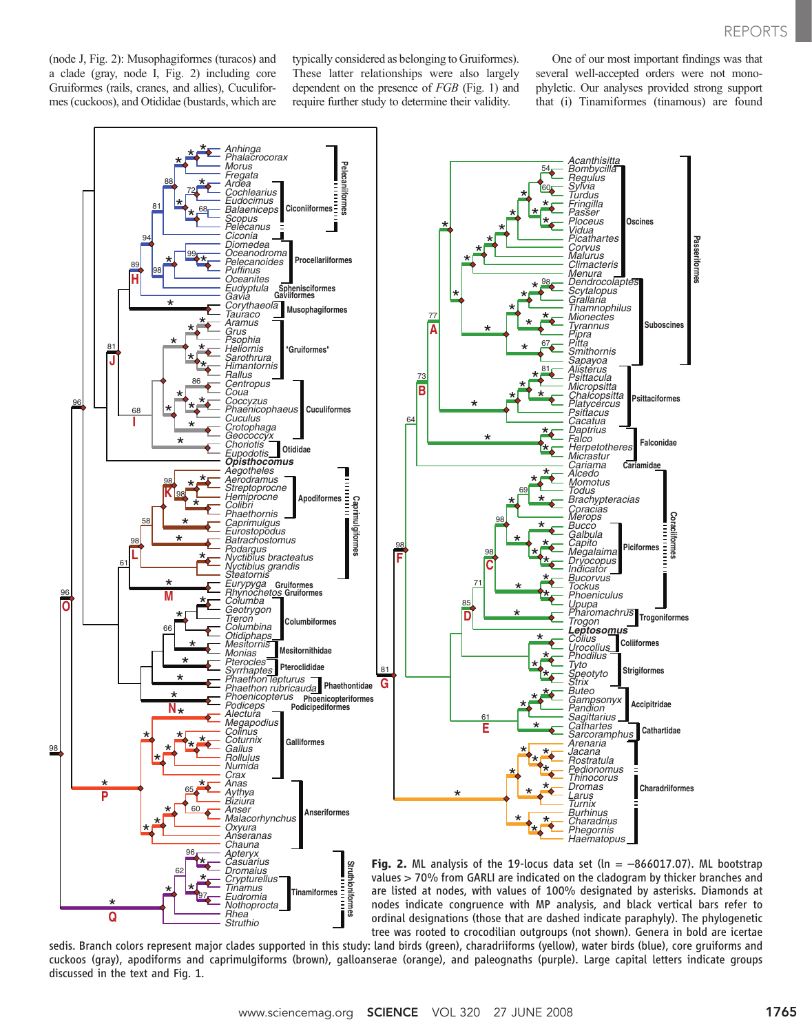(node J, Fig. 2): Musophagiformes (turacos) and a clade (gray, node I, Fig. 2) including core Gruiformes (rails, cranes, and allies), Cuculiformes (cuckoos), and Otididae (bustards, which are typically considered as belonging to Gruiformes). These latter relationships were also largely dependent on the presence of FGB (Fig. 1) and require further study to determine their validity.

One of our most important findings was that several well-accepted orders were not monophyletic. Our analyses provided strong support that (i) Tinamiformes (tinamous) are found



sedis. Branch colors represent major clades supported in this study: land birds (green), charadriiforms (yellow), water birds (blue), core gruiforms and cuckoos (gray), apodiforms and caprimulgiforms (brown), galloanserae (orange), and paleognaths (purple). Large capital letters indicate groups discussed in the text and Fig. 1.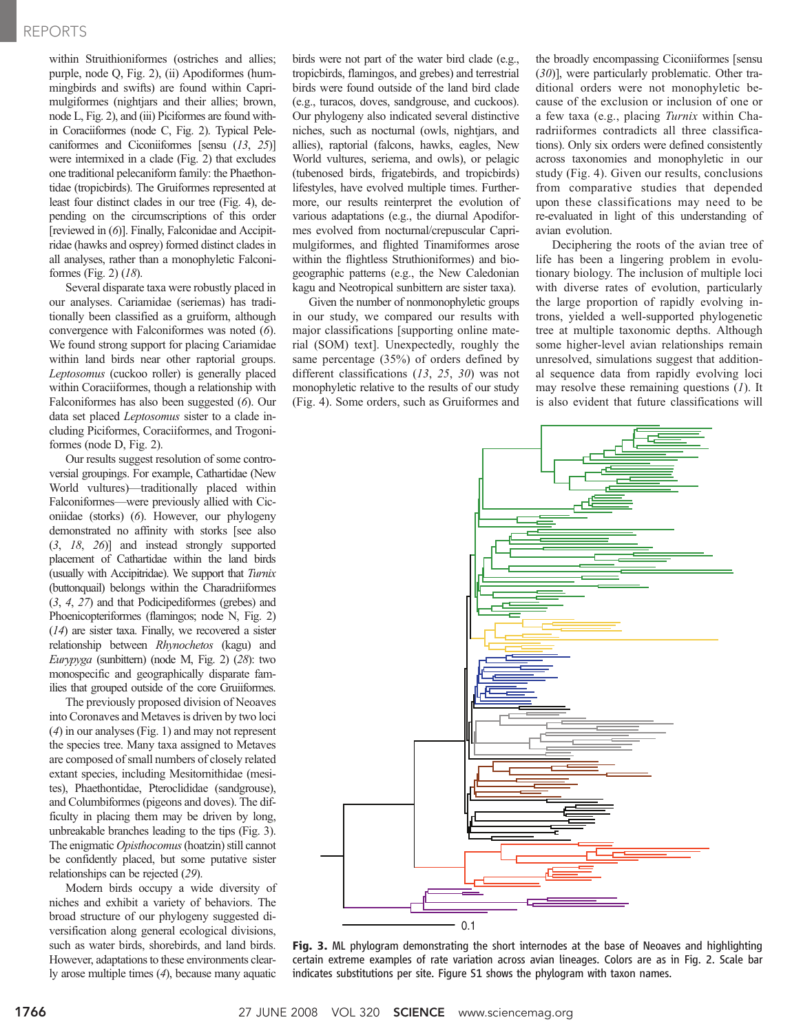## REPORTS

within Struithioniformes (ostriches and allies; purple, node Q, Fig. 2), (ii) Apodiformes (hummingbirds and swifts) are found within Caprimulgiformes (nightjars and their allies; brown, node L, Fig. 2), and (iii) Piciformes are found within Coraciiformes (node C, Fig. 2). Typical Pelecaniformes and Ciconiiformes [sensu (13, 25)] were intermixed in a clade (Fig. 2) that excludes one traditional pelecaniform family: the Phaethontidae (tropicbirds). The Gruiformes represented at least four distinct clades in our tree (Fig. 4), depending on the circumscriptions of this order [reviewed in  $(6)$ ]. Finally, Falconidae and Accipitridae (hawks and osprey) formed distinct clades in all analyses, rather than a monophyletic Falconiformes (Fig. 2) (18).

Several disparate taxa were robustly placed in our analyses. Cariamidae (seriemas) has traditionally been classified as a gruiform, although convergence with Falconiformes was noted (6). We found strong support for placing Cariamidae within land birds near other raptorial groups. Leptosomus (cuckoo roller) is generally placed within Coraciiformes, though a relationship with Falconiformes has also been suggested (6). Our data set placed Leptosomus sister to a clade including Piciformes, Coraciiformes, and Trogoniformes (node D, Fig. 2).

Our results suggest resolution of some controversial groupings. For example, Cathartidae (New World vultures)—traditionally placed within Falconiformes—were previously allied with Ciconiidae (storks) (6). However, our phylogeny demonstrated no affinity with storks [see also (3, 18, 26)] and instead strongly supported placement of Cathartidae within the land birds (usually with Accipitridae). We support that Turnix (buttonquail) belongs within the Charadriiformes (3, 4, 27) and that Podicipediformes (grebes) and Phoenicopteriformes (flamingos; node N, Fig. 2) (14) are sister taxa. Finally, we recovered a sister relationship between Rhynochetos (kagu) and Eurypyga (sunbittern) (node M, Fig. 2) (28): two monospecific and geographically disparate families that grouped outside of the core Gruiiformes.

The previously proposed division of Neoaves into Coronaves and Metaves is driven by two loci (4) in our analyses (Fig. 1) and may not represent the species tree. Many taxa assigned to Metaves are composed of small numbers of closely related extant species, including Mesitornithidae (mesites), Phaethontidae, Pteroclididae (sandgrouse), and Columbiformes (pigeons and doves). The difficulty in placing them may be driven by long, unbreakable branches leading to the tips (Fig. 3). The enigmatic *Opisthocomus* (hoatzin) still cannot be confidently placed, but some putative sister relationships can be rejected (29).

Modern birds occupy a wide diversity of niches and exhibit a variety of behaviors. The broad structure of our phylogeny suggested diversification along general ecological divisions, such as water birds, shorebirds, and land birds. However, adaptations to these environments clearly arose multiple times (4), because many aquatic

birds were not part of the water bird clade (e.g., tropicbirds, flamingos, and grebes) and terrestrial birds were found outside of the land bird clade (e.g., turacos, doves, sandgrouse, and cuckoos). Our phylogeny also indicated several distinctive niches, such as nocturnal (owls, nightjars, and allies), raptorial (falcons, hawks, eagles, New World vultures, seriema, and owls), or pelagic (tubenosed birds, frigatebirds, and tropicbirds) lifestyles, have evolved multiple times. Furthermore, our results reinterpret the evolution of various adaptations (e.g., the diurnal Apodiformes evolved from nocturnal/crepuscular Caprimulgiformes, and flighted Tinamiformes arose within the flightless Struthioniformes) and biogeographic patterns (e.g., the New Caledonian kagu and Neotropical sunbittern are sister taxa).

Given the number of nonmonophyletic groups in our study, we compared our results with major classifications [supporting online material (SOM) text]. Unexpectedly, roughly the same percentage (35%) of orders defined by different classifications (13, 25, 30) was not monophyletic relative to the results of our study (Fig. 4). Some orders, such as Gruiformes and

the broadly encompassing Ciconiiformes [sensu (30)], were particularly problematic. Other traditional orders were not monophyletic because of the exclusion or inclusion of one or a few taxa (e.g., placing Turnix within Charadriiformes contradicts all three classifications). Only six orders were defined consistently across taxonomies and monophyletic in our study (Fig. 4). Given our results, conclusions from comparative studies that depended upon these classifications may need to be re-evaluated in light of this understanding of avian evolution.

Deciphering the roots of the avian tree of life has been a lingering problem in evolutionary biology. The inclusion of multiple loci with diverse rates of evolution, particularly the large proportion of rapidly evolving introns, yielded a well-supported phylogenetic tree at multiple taxonomic depths. Although some higher-level avian relationships remain unresolved, simulations suggest that additional sequence data from rapidly evolving loci may resolve these remaining questions  $(1)$ . It is also evident that future classifications will



Fig. 3. ML phylogram demonstrating the short internodes at the base of Neoaves and highlighting certain extreme examples of rate variation across avian lineages. Colors are as in Fig. 2. Scale bar indicates substitutions per site. Figure S1 shows the phylogram with taxon names.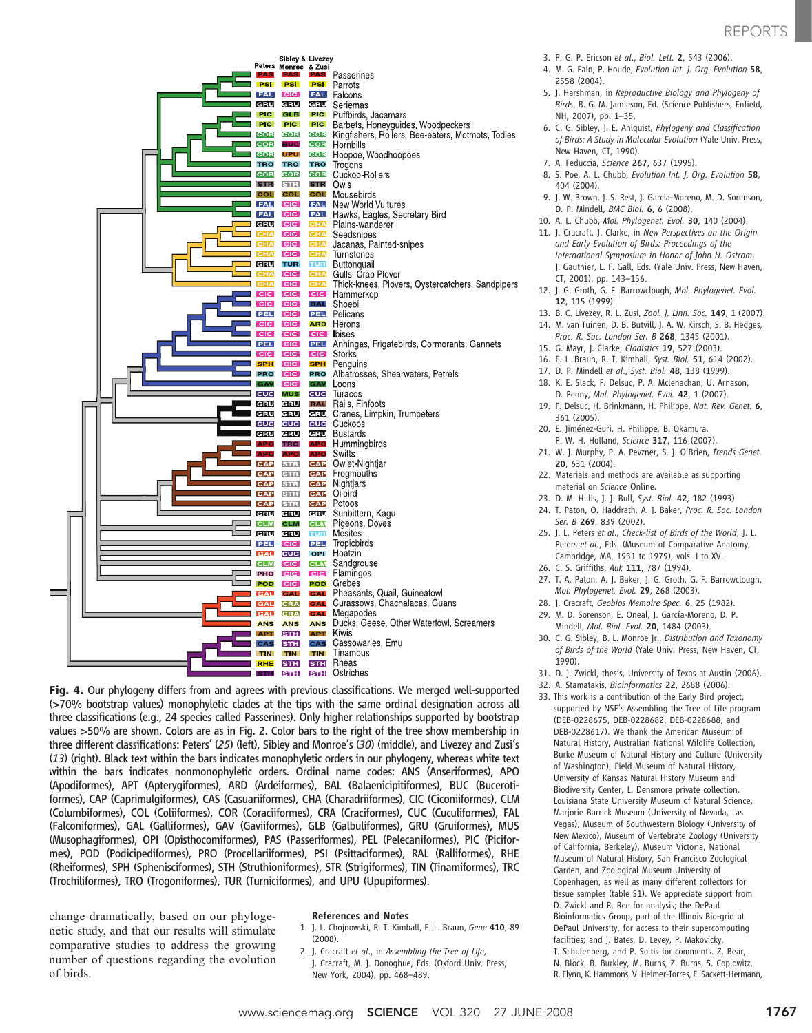

Fig. 4. Our phylogeny differs from and agrees with previous classifications. We merged well-supported (>70% bootstrap values) monophyletic clades at the tips with the same ordinal designation across all three classifications (e.g., 24 species called Passerines). Only higher relationships supported by bootstrap values >50% are shown. Colors are as in Fig. 2. Color bars to the right of the tree show membership in three different classifications: Peters' (25) (left), Sibley and Monroe's (30) (middle), and Livezey and Zusi's (13) (right). Black text within the bars indicates monophyletic orders in our phylogeny, whereas white text within the bars indicates nonmonophyletic orders. Ordinal name codes: ANS (Anseriformes), APO (Apodiformes), APT (Apterygiformes), ARD (Ardeiformes), BAL (Balaenicipitiformes), BUC (Bucerotiformes), CAP (Caprimulgiformes), CAS (Casuariiformes), CHA (Charadriiformes), CIC (Ciconiiformes), CLM (Columbiformes), COL (Coliiformes), COR (Coraciiformes), CRA (Craciformes), CUC (Cuculiformes), FAL (Falconiformes), GAL (Galliformes), GAV (Gaviiformes), GLB (Galbuliformes), GRU (Gruiformes), MUS (Musophagiformes), OPI (Opisthocomiformes), PAS (Passeriformes), PEL (Pelecaniformes), PIC (Piciformes), POD (Podicipediformes), PRO (Procellariiformes), PSI (Psittaciformes), RAL (Ralliformes), RHE (Rheiformes), SPH (Sphenisciformes), STH (Struthioniformes), STR (Strigiformes), TIN (Tinamiformes), TRC (Trochiliformes), TRO (Trogoniformes), TUR (Turniciformes), and UPU (Upupiformes).

change dramatically, based on our phylogenetic study, and that our results will stimulate comparative studies to address the growing number of questions regarding the evolution of birds.

## References and Notes

- 1. J. L. Chojnowski, R. T. Kimball, E. L. Braun, Gene 410, 89 (2008).
- 2. J. Cracraft et al., in Assembling the Tree of Life, J. Cracraft, M. J. Donoghue, Eds. (Oxford Univ. Press, New York, 2004), pp. 468–489.
- 3. P. G. P. Ericson et al., Biol. Lett. 2, 543 (2006).
- 4. M. G. Fain, P. Houde, Evolution Int. J. Org. Evolution 58, 2558 (2004).
- 5. J. Harshman, in Reproductive Biology and Phylogeny of Birds, B. G. M. Jamieson, Ed. (Science Publishers, Enfield, NH, 2007), pp. 1–35.
- 6. C. G. Sibley, J. E. Ahlquist, Phylogeny and Classification of Birds: A Study in Molecular Evolution (Yale Univ. Press, New Haven, CT, 1990).
- 7. A. Feduccia, Science 267, 637 (1995).
- 8. S. Poe, A. L. Chubb, Evolution Int. J. Org. Evolution 58, 404 (2004).
- 9. J. W. Brown, J. S. Rest, J. Garcia-Moreno, M. D. Sorenson, D. P. Mindell, BMC Biol. 6, 6 (2008).
- 10. A. L. Chubb, Mol. Phylogenet. Evol. 30, 140 (2004).
- 11. J. Cracraft, J. Clarke, in New Perspectives on the Origin and Early Evolution of Birds: Proceedings of the International Symposium in Honor of John H. Ostrom, J. Gauthier, L. F. Gall, Eds. (Yale Univ. Press, New Haven, CT, 2001), pp. 143–156.
- 12. J. G. Groth, G. F. Barrowclough, Mol. Phylogenet. Evol. 12, 115 (1999).
- 13. B. C. Livezey, R. L. Zusi, Zool. J. Linn. Soc. 149, 1 (2007).
- 14. M. van Tuinen, D. B. Butvill, J. A. W. Kirsch, S. B. Hedges, Proc. R. Soc. London Ser. B 268, 1345 (2001).
- 15. G. Mayr, J. Clarke, Cladistics 19, 527 (2003).
- 16. E. L. Braun, R. T. Kimball, Syst. Biol. 51, 614 (2002).
- 17. D. P. Mindell et al., Syst. Biol. 48, 138 (1999).
- 18. K. E. Slack, F. Delsuc, P. A. Mclenachan, U. Arnason, D. Penny, Mol. Phylogenet. Evol. 42, 1 (2007).
- 19. F. Delsuc, H. Brinkmann, H. Philippe, Nat. Rev. Genet. 6, 361 (2005).
- 20. E. Jiménez-Guri, H. Philippe, B. Okamura,
- P. W. H. Holland, Science 317, 116 (2007). 21. W. J. Murphy, P. A. Pevzner, S. J. O'Brien, Trends Genet.
- 20, 631 (2004).
- 22. Materials and methods are available as supporting material on Science Online.
- 23. D. M. Hillis, J. J. Bull, Syst. Biol. 42, 182 (1993).
- 24. T. Paton, O. Haddrath, A. J. Baker, Proc. R. Soc. London Ser. B 269, 839 (2002).
- 25. J. L. Peters et al., Check-list of Birds of the World, J. L. Peters et al., Eds. (Museum of Comparative Anatomy, Cambridge, MA, 1931 to 1979), vols. I to XV.
- 26. C. S. Griffiths, Auk 111, 787 (1994).
- 27. T. A. Paton, A. J. Baker, J. G. Groth, G. F. Barrowclough, Mol. Phylogenet. Evol. 29, 268 (2003).
- 28. J. Cracraft, Geobios Memoire Spec. 6, 25 (1982).
- 29. M. D. Sorenson, E. Oneal, J. García-Moreno, D. P. Mindell, Mol. Biol. Evol. 20, 1484 (2003).
- 30. C. G. Sibley, B. L. Monroe Jr., Distribution and Taxonomy of Birds of the World (Yale Univ. Press, New Haven, CT, 1990).
- 31. D. J. Zwickl, thesis, University of Texas at Austin (2006).
- 32. A. Stamatakis, Bioinformatics 22, 2688 (2006).
- 33. This work is a contribution of the Early Bird project, supported by NSF's Assembling the Tree of Life program (DEB-0228675, DEB-0228682, DEB-0228688, and DEB-0228617). We thank the American Museum of Natural History, Australian National Wildlife Collection, Burke Museum of Natural History and Culture (University of Washington), Field Museum of Natural History, University of Kansas Natural History Museum and Biodiversity Center, L. Densmore private collection, Louisiana State University Museum of Natural Science, Marjorie Barrick Museum (University of Nevada, Las Vegas), Museum of Southwestern Biology (University of New Mexico), Museum of Vertebrate Zoology (University of California, Berkeley), Museum Victoria, National Museum of Natural History, San Francisco Zoological Garden, and Zoological Museum University of Copenhagen, as well as many different collectors for tissue samples (table S1). We appreciate support from D. Zwickl and R. Ree for analysis; the DePaul Bioinformatics Group, part of the Illinois Bio-grid at DePaul University, for access to their supercomputing facilities; and J. Bates, D. Levey, P. Makovicky, T. Schulenberg, and P. Soltis for comments. Z. Bear, N. Block, B. Burkley, M. Burns, Z. Burns, S. Coplowitz,
	- R. Flynn, K. Hammons, V. Heimer-Torres, E. Sackett-Hermann,